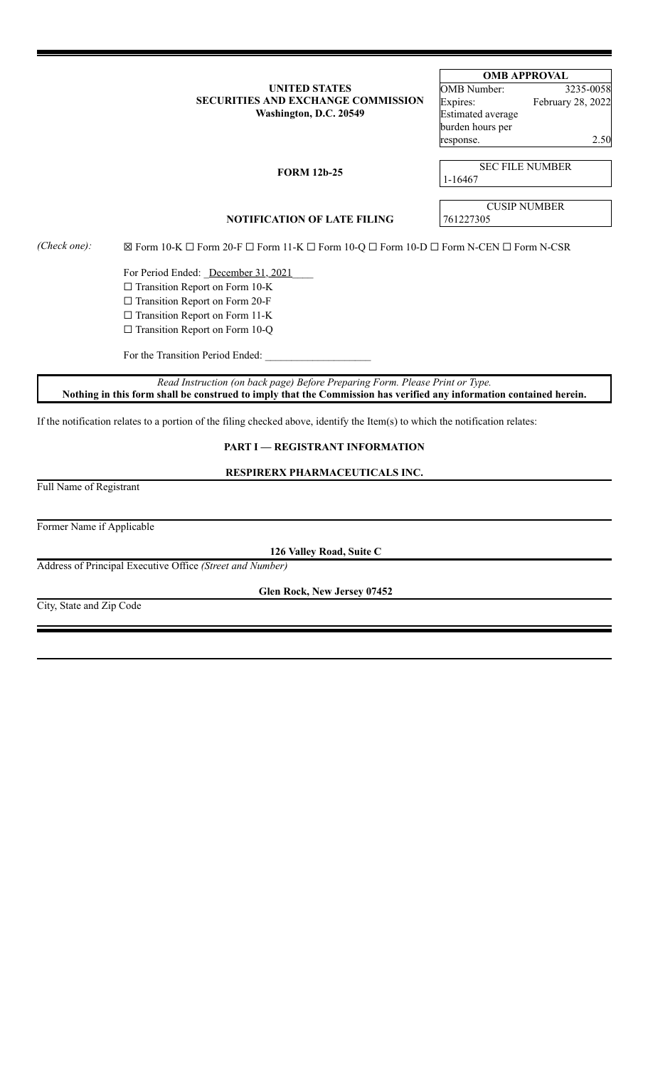## **UNITED STATES SECURITIES AND EXCHANGE COMMISSION Washington, D.C. 20549**

# **OMB APPROVAL**

| <b>OMB</b> Number:       | 3235-0058         |
|--------------------------|-------------------|
| Expires:                 | February 28, 2022 |
| <b>Estimated average</b> |                   |
| burden hours per         |                   |
| response.                | 2.50              |

## **FORM 12b-25**

SEC FILE NUMBER 1-16467

respo

CUSIP NUMBER

**NOTIFICATION OF LATE FILING** 761227305

*(Check one):* ☒ Form 10-K ☐ Form 20-F ☐ Form 11-K ☐ Form 10-Q ☐ Form 10-D ☐ Form N-CEN ☐ Form N-CSR

For Period Ended: *\_December 31, 2021* □ Transition Report on Form 10-K ☐ Transition Report on Form 20-F □ Transition Report on Form 11-K □ Transition Report on Form 10-Q

For the Transition Period Ended:

*Read Instruction (on back page) Before Preparing Form. Please Print or Type.* Nothing in this form shall be construed to imply that the Commission has verified any information contained herein.

If the notification relates to a portion of the filing checked above, identify the Item(s) to which the notification relates:

# **PART I — REGISTRANT INFORMATION**

**RESPIRERX PHARMACEUTICALS INC.**

Full Name of Registrant

Former Name if Applicable

**126 Valley Road, Suite C**

Address of Principal Executive Office *(Street and Number)*

**Glen Rock, New Jersey 07452**

City, State and Zip Code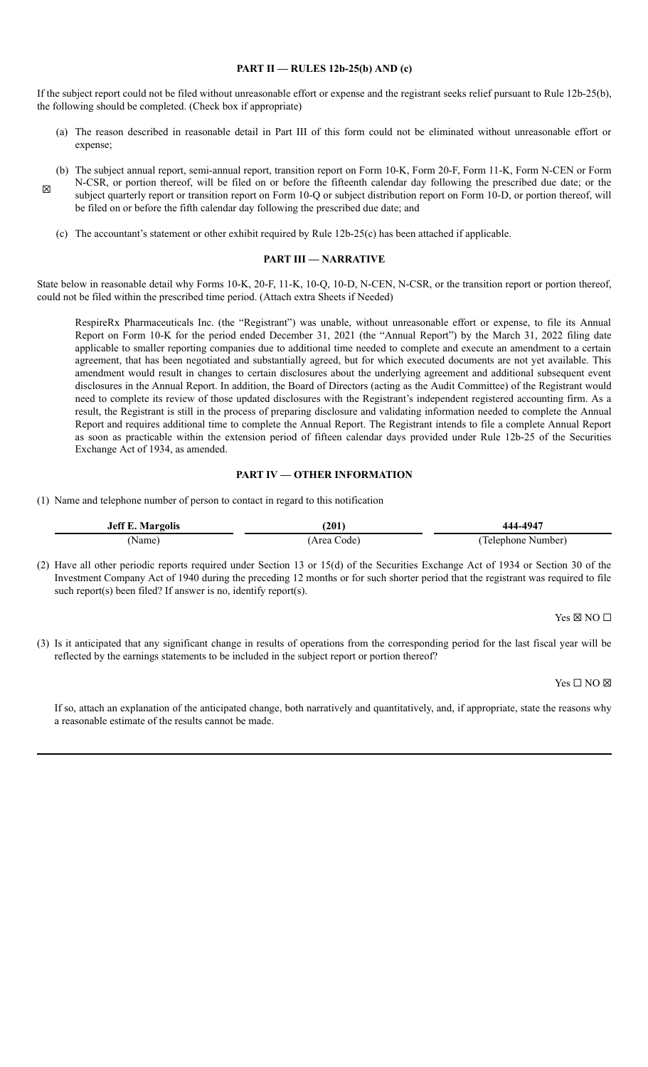## **PART II — RULES 12b-25(b) AND (c)**

If the subject report could not be filed without unreasonable effort or expense and the registrant seeks relief pursuant to Rule 12b-25(b), the following should be completed. (Check box if appropriate)

- (a) The reason described in reasonable detail in Part III of this form could not be eliminated without unreasonable effort or expense;
- (b) The subject annual report, semi-annual report, transition report on Form 10-K, Form 20-F, Form 11-K, Form N-CEN or Form N-CSR, or portion thereof, will be filed on or before the fifteenth calendar day following the prescribed due date; or the subject quarterly report or transition report on Form 10-Q or subject distribution report on Form 10-D, or portion thereof, will be filed on or before the fifth calendar day following the prescribed due date; and
	- (c) The accountant's statement or other exhibit required by Rule 12b-25(c) has been attached if applicable.

#### **PART III — NARRATIVE**

State below in reasonable detail why Forms 10-K, 20-F, 11-K, 10-Q, 10-D, N-CEN, N-CSR, or the transition report or portion thereof, could not be filed within the prescribed time period. (Attach extra Sheets if Needed)

RespireRx Pharmaceuticals Inc. (the "Registrant") was unable, without unreasonable effort or expense, to file its Annual Report on Form 10-K for the period ended December 31, 2021 (the "Annual Report") by the March 31, 2022 filing date applicable to smaller reporting companies due to additional time needed to complete and execute an amendment to a certain agreement, that has been negotiated and substantially agreed, but for which executed documents are not yet available. This amendment would result in changes to certain disclosures about the underlying agreement and additional subsequent event disclosures in the Annual Report. In addition, the Board of Directors (acting as the Audit Committee) of the Registrant would need to complete its review of those updated disclosures with the Registrant's independent registered accounting firm. As a result, the Registrant is still in the process of preparing disclosure and validating information needed to complete the Annual Report and requires additional time to complete the Annual Report. The Registrant intends to file a complete Annual Report as soon as practicable within the extension period of fifteen calendar days provided under Rule 12b-25 of the Securities Exchange Act of 1934, as amended.

#### **PART IV — OTHER INFORMATION**

(1) Name and telephone number of person to contact in regard to this notification

| <b>Jeff E. Margolis</b> | [201]      | 444-4947           |
|-------------------------|------------|--------------------|
| Name)                   | Area Code) | (Telephone Number) |

(2) Have all other periodic reports required under Section 13 or 15(d) of the Securities Exchange Act of 1934 or Section 30 of the Investment Company Act of 1940 during the preceding 12 months or for such shorter period that the registrant was required to file such report(s) been filed? If answer is no, identify report(s).

 $Yes \boxtimes NO \square$ 

(3) Is it anticipated that any significant change in results of operations from the corresponding period for the last fiscal year will be reflected by the earnings statements to be included in the subject report or portion thereof?

Yes □ NO ⊠

If so, attach an explanation of the anticipated change, both narratively and quantitatively, and, if appropriate, state the reasons why a reasonable estimate of the results cannot be made.

☒